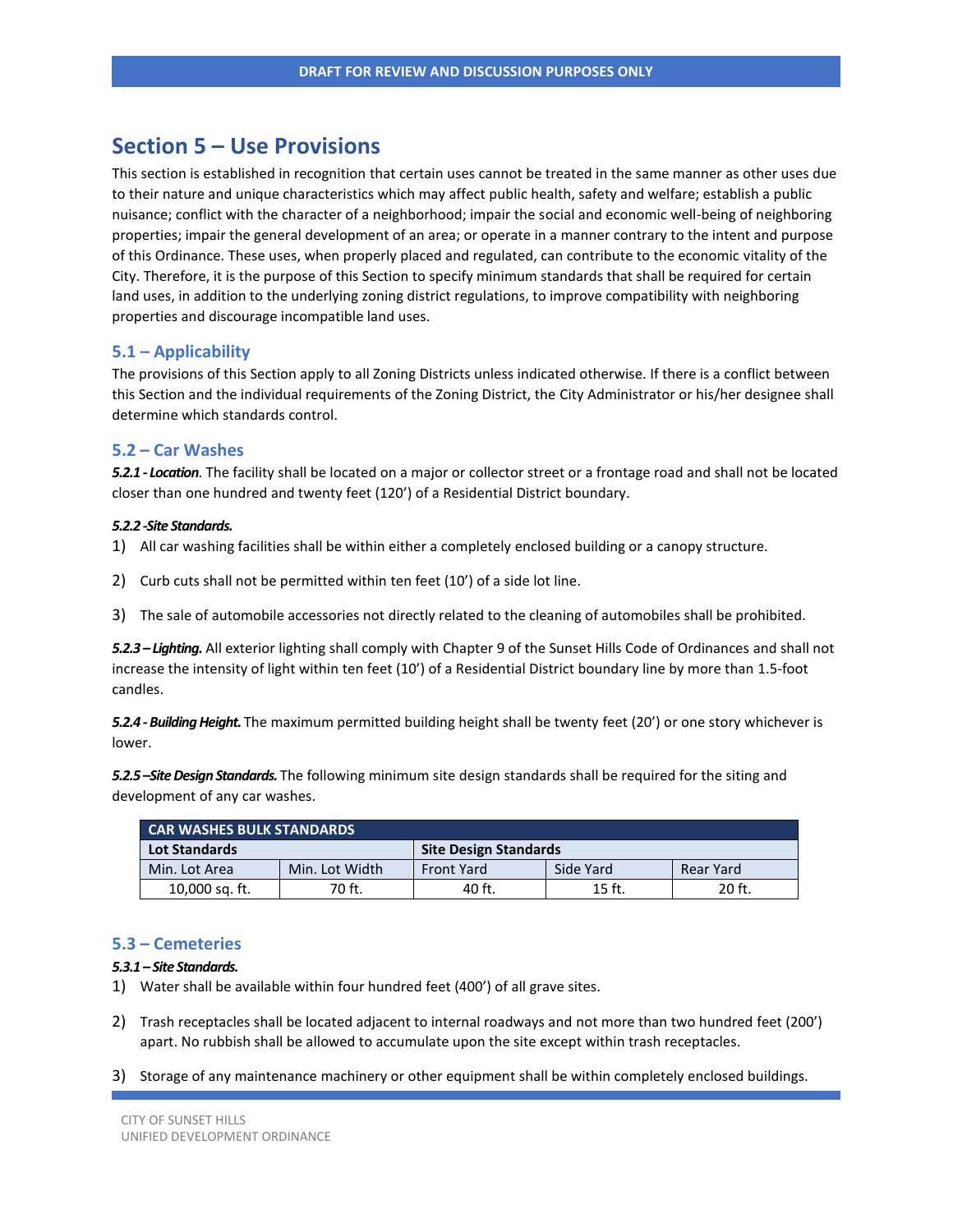# **Section 5 – Use Provisions**

This section is established in recognition that certain uses cannot be treated in the same manner as other uses due to their nature and unique characteristics which may affect public health, safety and welfare; establish a public nuisance; conflict with the character of a neighborhood; impair the social and economic well-being of neighboring properties; impair the general development of an area; or operate in a manner contrary to the intent and purpose of this Ordinance. These uses, when properly placed and regulated, can contribute to the economic vitality of the City. Therefore, it is the purpose of this Section to specify minimum standards that shall be required for certain land uses, in addition to the underlying zoning district regulations, to improve compatibility with neighboring properties and discourage incompatible land uses.

#### **5.1 – Applicability**

The provisions of this Section apply to all Zoning Districts unless indicated otherwise. If there is a conflict between this Section and the individual requirements of the Zoning District, the City Administrator or his/her designee shall determine which standards control.

### **5.2 – Car Washes**

*5.2.1 - Location*. The facility shall be located on a major or collector street or a frontage road and shall not be located closer than one hundred and twenty feet (120') of a Residential District boundary.

#### *5.2.2 -Site Standards.*

1) All car washing facilities shall be within either a completely enclosed building or a canopy structure.

- 2) Curb cuts shall not be permitted within ten feet (10') of a side lot line.
- 3) The sale of automobile accessories not directly related to the cleaning of automobiles shall be prohibited.

*5.2.3 – Lighting.* All exterior lighting shall comply with Chapter 9 of the Sunset Hills Code of Ordinances and shall not increase the intensity of light within ten feet (10') of a Residential District boundary line by more than 1.5-foot candles.

*5.2.4 -Building Height.* The maximum permitted building height shall be twenty feet (20') or one story whichever is lower.

*5.2.5 –Site Design Standards.* The following minimum site design standards shall be required for the siting and development of any car washes.

| <b>CAR WASHES BULK STANDARDS</b> |                |                              |           |           |
|----------------------------------|----------------|------------------------------|-----------|-----------|
| <b>Lot Standards</b>             |                | <b>Site Design Standards</b> |           |           |
| Min. Lot Area                    | Min. Lot Width | <b>Front Yard</b>            | Side Yard | Rear Yard |
| 10,000 sq. ft.                   | 70 ft.         | 40 ft.                       | 15 ft.    | 20 ft.    |

#### **5.3 – Cemeteries**

# *5.3.1 – Site Standards.*

- 1) Water shall be available within four hundred feet (400') of all grave sites.
- 2) Trash receptacles shall be located adjacent to internal roadways and not more than two hundred feet (200') apart. No rubbish shall be allowed to accumulate upon the site except within trash receptacles.
- 3) Storage of any maintenance machinery or other equipment shall be within completely enclosed buildings.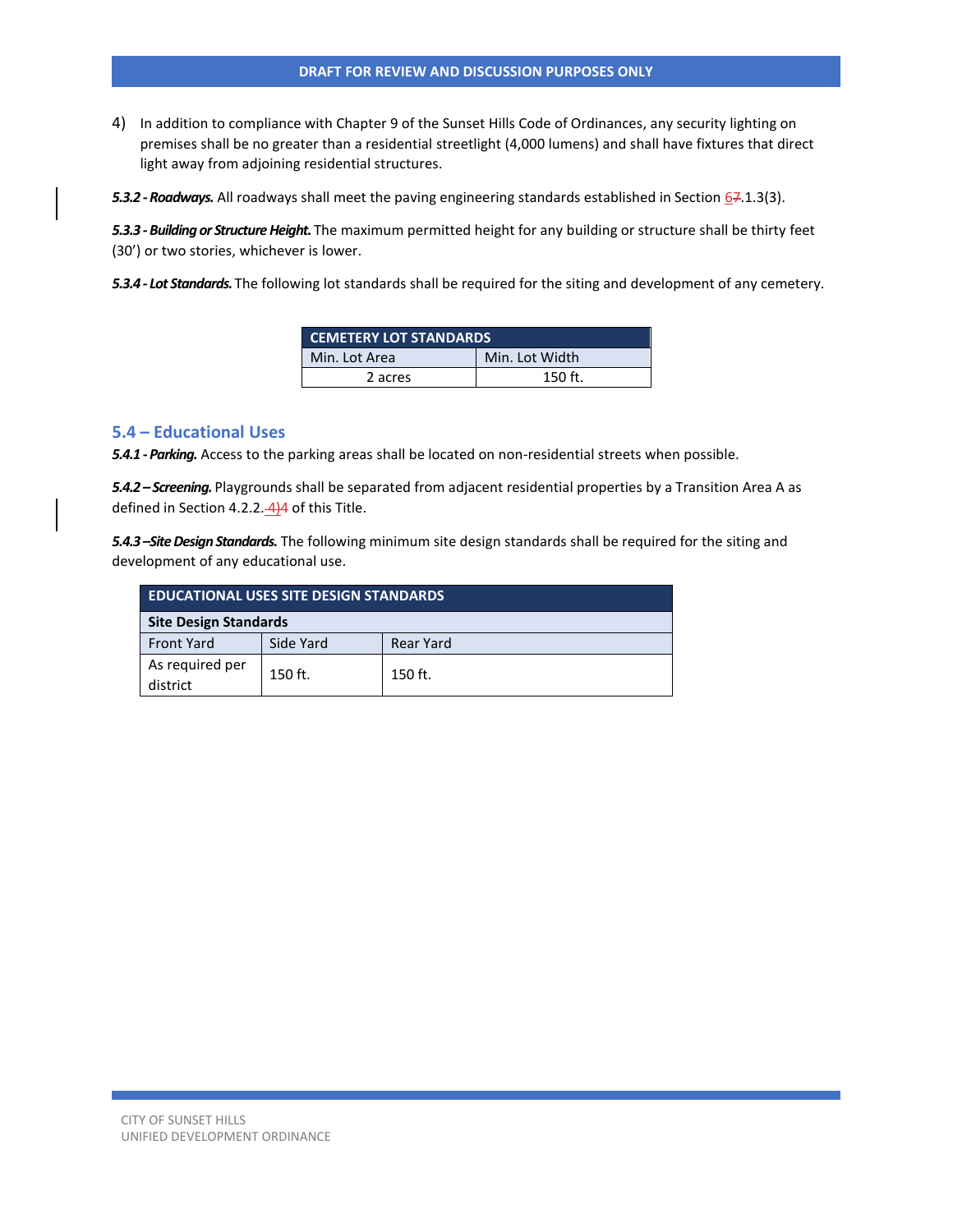4) In addition to compliance with Chapter 9 of the Sunset Hills Code of Ordinances, any security lighting on premises shall be no greater than a residential streetlight (4,000 lumens) and shall have fixtures that direct light away from adjoining residential structures.

5.3.2 - Roadways. All roadways shall meet the paving engineering standards established in Section 67.1.3(3).

*5.3.3 -Building or Structure Height.* The maximum permitted height for any building or structure shall be thirty feet (30') or two stories, whichever is lower.

*5.3.4 - Lot Standards.* The following lot standards shall be required for the siting and development of any cemetery.

| <b>CEMETERY LOT STANDARDS</b>   |           |  |
|---------------------------------|-----------|--|
| Min. Lot Width<br>Min. Lot Area |           |  |
| 2 acres                         | $150$ ft. |  |

#### **5.4 – Educational Uses**

*5.4.1 -Parking.* Access to the parking areas shall be located on non-residential streets when possible.

*5.4.2 – Screening.* Playgrounds shall be separated from adjacent residential properties by a Transition Area A as defined in Section 4.2.2. $\frac{4}{4}$  of this Title.

*5.4.3 –Site Design Standards.* The following minimum site design standards shall be required for the siting and development of any educational use.

| <b>EDUCATIONAL USES SITE DESIGN STANDARDS</b> |           |                  |  |
|-----------------------------------------------|-----------|------------------|--|
| <b>Site Design Standards</b>                  |           |                  |  |
| <b>Front Yard</b>                             | Side Yard | <b>Rear Yard</b> |  |
| As required per<br>district                   | 150 ft.   | 150 ft.          |  |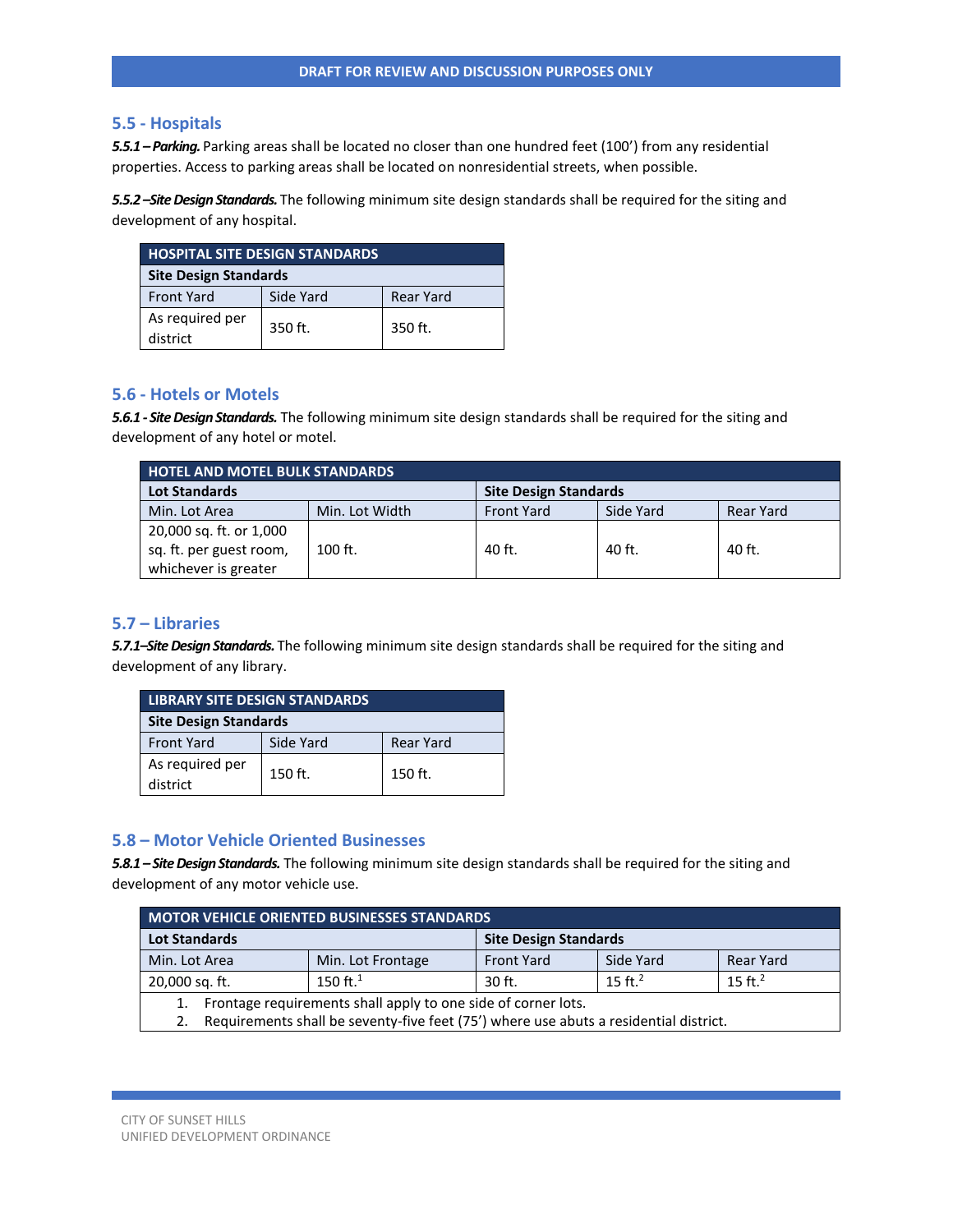### **5.5 - Hospitals**

5.5.1 - Parking. Parking areas shall be located no closer than one hundred feet (100') from any residential properties. Access to parking areas shall be located on nonresidential streets, when possible.

*5.5.2 –Site Design Standards.* The following minimum site design standards shall be required for the siting and development of any hospital.

| <b>HOSPITAL SITE DESIGN STANDARDS</b> |           |           |  |
|---------------------------------------|-----------|-----------|--|
| <b>Site Design Standards</b>          |           |           |  |
| <b>Front Yard</b>                     | Side Yard | Rear Yard |  |
| As required per<br>district           | 350 ft.   | 350 ft.   |  |

### **5.6 - Hotels or Motels**

*5.6.1 - Site Design Standards.* The following minimum site design standards shall be required for the siting and development of any hotel or motel.

| <b>HOTEL AND MOTEL BULK STANDARDS</b>                                      |                |                              |           |           |
|----------------------------------------------------------------------------|----------------|------------------------------|-----------|-----------|
| <b>Lot Standards</b>                                                       |                | <b>Site Design Standards</b> |           |           |
| Min. Lot Area                                                              | Min. Lot Width | <b>Front Yard</b>            | Side Yard | Rear Yard |
| 20,000 sq. ft. or 1,000<br>sq. ft. per guest room,<br>whichever is greater | $100$ ft.      | 40 ft.                       | 40 ft.    | 40 ft.    |

# **5.7 – Libraries**

*5.7.1–Site Design Standards.* The following minimum site design standards shall be required for the siting and development of any library.

| <b>LIBRARY SITE DESIGN STANDARDS</b> |           |                  |  |
|--------------------------------------|-----------|------------------|--|
| <b>Site Design Standards</b>         |           |                  |  |
| <b>Front Yard</b>                    | Side Yard | <b>Rear Yard</b> |  |
| As required per<br>district          | 150 ft.   | 150 ft.          |  |

# **5.8 – Motor Vehicle Oriented Businesses**

*5.8.1 – Site Design Standards.* The following minimum site design standards shall be required for the siting and development of any motor vehicle use.

| <b>MOTOR VEHICLE ORIENTED BUSINESSES STANDARDS</b>                                    |                   |                   |                              |                  |  |
|---------------------------------------------------------------------------------------|-------------------|-------------------|------------------------------|------------------|--|
| <b>Lot Standards</b>                                                                  |                   |                   | <b>Site Design Standards</b> |                  |  |
| Min. Lot Area                                                                         | Min. Lot Frontage | <b>Front Yard</b> | Side Yard                    | <b>Rear Yard</b> |  |
| 20,000 sq. ft.                                                                        | 150 ft. $1$       | $30$ ft.          | 15 ft. $^2$                  | 15 ft. $2$       |  |
| Frontage requirements shall apply to one side of corner lots.<br>1.                   |                   |                   |                              |                  |  |
| Requirements shall be seventy-five feet (75') where use abuts a residential district. |                   |                   |                              |                  |  |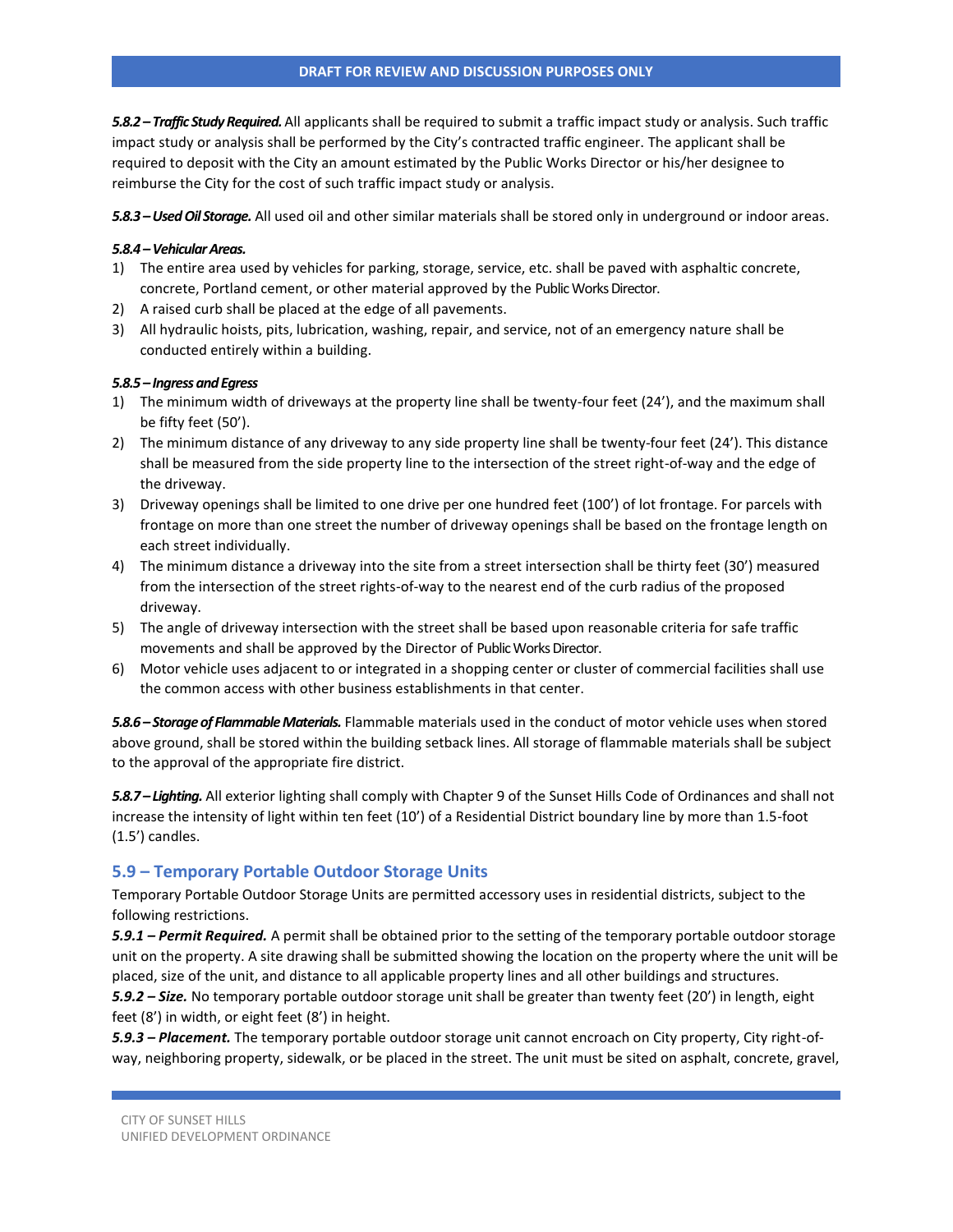*5.8.2 – Traffic Study Required.* All applicants shall be required to submit a traffic impact study or analysis. Such traffic impact study or analysis shall be performed by the City's contracted traffic engineer. The applicant shall be required to deposit with the City an amount estimated by the Public Works Director or his/her designee to reimburse the City for the cost of such traffic impact study or analysis.

*5.8.3 –Used Oil Storage.* All used oil and other similar materials shall be stored only in underground or indoor areas.

### *5.8.4 –Vehicular Areas.*

- 1) The entire area used by vehicles for parking, storage, service, etc. shall be paved with asphaltic concrete, concrete, Portland cement, or other material approved by the Public Works Director.
- 2) A raised curb shall be placed at the edge of all pavements.
- 3) All hydraulic hoists, pits, lubrication, washing, repair, and service, not of an emergency nature shall be conducted entirely within a building.

### *5.8.5 – Ingress and Egress*

- 1) The minimum width of driveways at the property line shall be twenty-four feet (24'), and the maximum shall be fifty feet (50').
- 2) The minimum distance of any driveway to any side property line shall be twenty-four feet (24'). This distance shall be measured from the side property line to the intersection of the street right-of-way and the edge of the driveway.
- 3) Driveway openings shall be limited to one drive per one hundred feet (100') of lot frontage. For parcels with frontage on more than one street the number of driveway openings shall be based on the frontage length on each street individually.
- 4) The minimum distance a driveway into the site from a street intersection shall be thirty feet (30') measured from the intersection of the street rights-of-way to the nearest end of the curb radius of the proposed driveway.
- 5) The angle of driveway intersection with the street shall be based upon reasonable criteria for safe traffic movements and shall be approved by the Director of Public Works Director.
- 6) Motor vehicle uses adjacent to or integrated in a shopping center or cluster of commercial facilities shall use the common access with other business establishments in that center.

*5.8.6 – Storage of Flammable Materials.* Flammable materials used in the conduct of motor vehicle uses when stored above ground, shall be stored within the building setback lines. All storage of flammable materials shall be subject to the approval of the appropriate fire district.

*5.8.7 – Lighting.* All exterior lighting shall comply with Chapter 9 of the Sunset Hills Code of Ordinances and shall not increase the intensity of light within ten feet (10') of a Residential District boundary line by more than 1.5-foot (1.5') candles.

# **5.9 – Temporary Portable Outdoor Storage Units**

Temporary Portable Outdoor Storage Units are permitted accessory uses in residential districts, subject to the following restrictions.

*5.9.1 – Permit Required.* A permit shall be obtained prior to the setting of the temporary portable outdoor storage unit on the property. A site drawing shall be submitted showing the location on the property where the unit will be placed, size of the unit, and distance to all applicable property lines and all other buildings and structures.

*5.9.2 – Size.* No temporary portable outdoor storage unit shall be greater than twenty feet (20') in length, eight feet (8') in width, or eight feet (8') in height.

*5.9.3 – Placement.* The temporary portable outdoor storage unit cannot encroach on City property, City right-ofway, neighboring property, sidewalk, or be placed in the street. The unit must be sited on asphalt, concrete, gravel,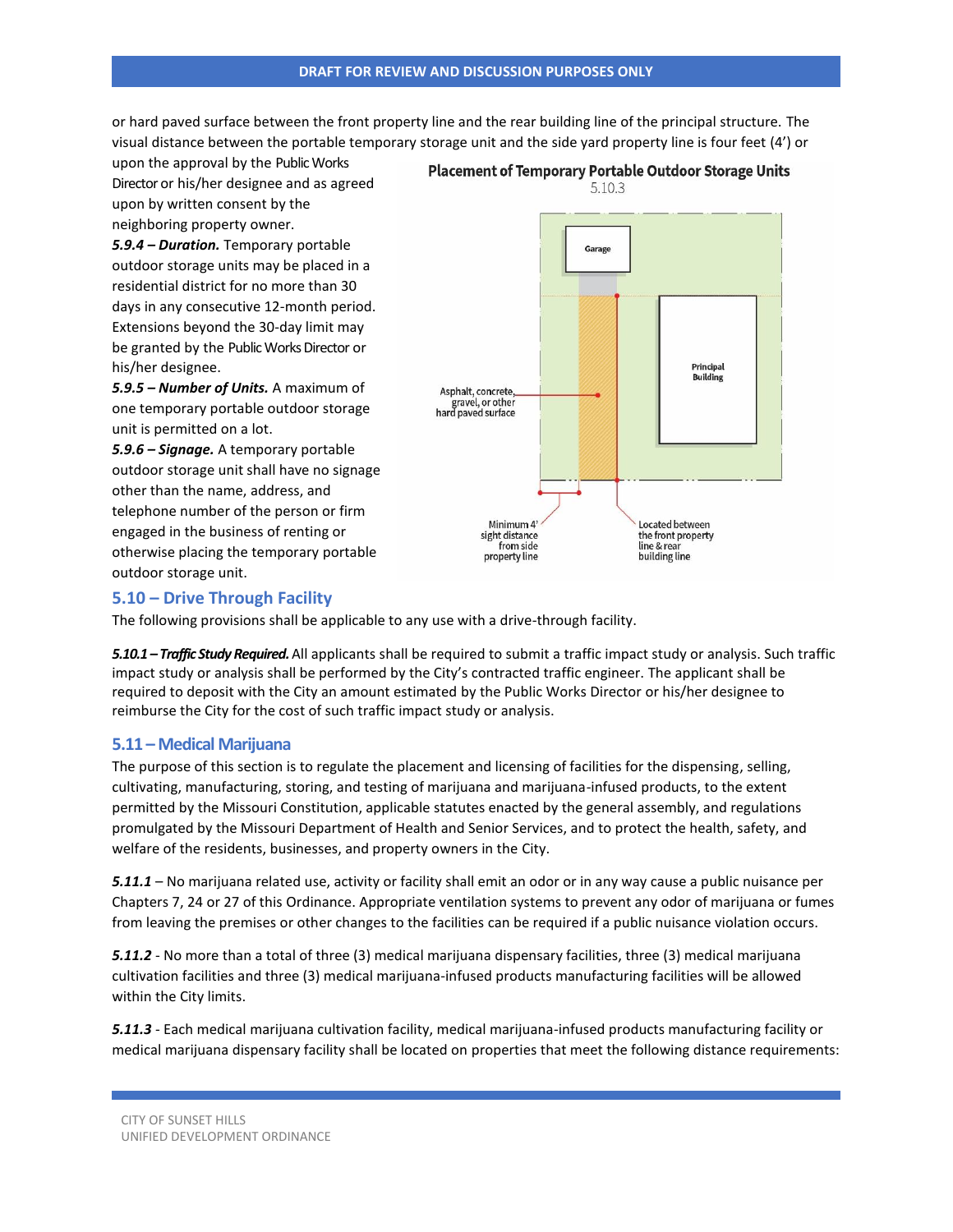#### **DRAFT FOR REVIEW AND DISCUSSION PURPOSES ONLY**

or hard paved surface between the front property line and the rear building line of the principal structure. The visual distance between the portable temporary storage unit and the side yard property line is four feet (4') or

upon the approval by the Public Works Director or his/her designee and as agreed upon by written consent by the neighboring property owner.

*5.9.4 – Duration.* Temporary portable outdoor storage units may be placed in a residential district for no more than 30 days in any consecutive 12-month period. Extensions beyond the 30-day limit may be granted by the Public Works Director or his/her designee.

*5.9.5 – Number of Units.* A maximum of one temporary portable outdoor storage unit is permitted on a lot.

*5.9.6 – Signage.* A temporary portable outdoor storage unit shall have no signage other than the name, address, and telephone number of the person or firm engaged in the business of renting or otherwise placing the temporary portable outdoor storage unit.



# **5.10 – Drive Through Facility**

The following provisions shall be applicable to any use with a drive-through facility.

*5.10.1 – Traffic Study Required.* All applicants shall be required to submit a traffic impact study or analysis. Such traffic impact study or analysis shall be performed by the City's contracted traffic engineer. The applicant shall be required to deposit with the City an amount estimated by the Public Works Director or his/her designee to reimburse the City for the cost of such traffic impact study or analysis.

# **5.11 – Medical Marijuana**

The purpose of this section is to regulate the placement and licensing of facilities for the dispensing, selling, cultivating, manufacturing, storing, and testing of marijuana and marijuana-infused products, to the extent permitted by the Missouri Constitution, applicable statutes enacted by the general assembly, and regulations promulgated by the Missouri Department of Health and Senior Services, and to protect the health, safety, and welfare of the residents, businesses, and property owners in the City.

*5.11.1* – No marijuana related use, activity or facility shall emit an odor or in any way cause a public nuisance per Chapters 7, 24 or 27 of this Ordinance. Appropriate ventilation systems to prevent any odor of marijuana or fumes from leaving the premises or other changes to the facilities can be required if a public nuisance violation occurs.

*5.11.2* - No more than a total of three (3) medical marijuana dispensary facilities, three (3) medical marijuana cultivation facilities and three (3) medical marijuana-infused products manufacturing facilities will be allowed within the City limits.

*5.11.3* - Each medical marijuana cultivation facility, medical marijuana-infused products manufacturing facility or medical marijuana dispensary facility shall be located on properties that meet the following distance requirements: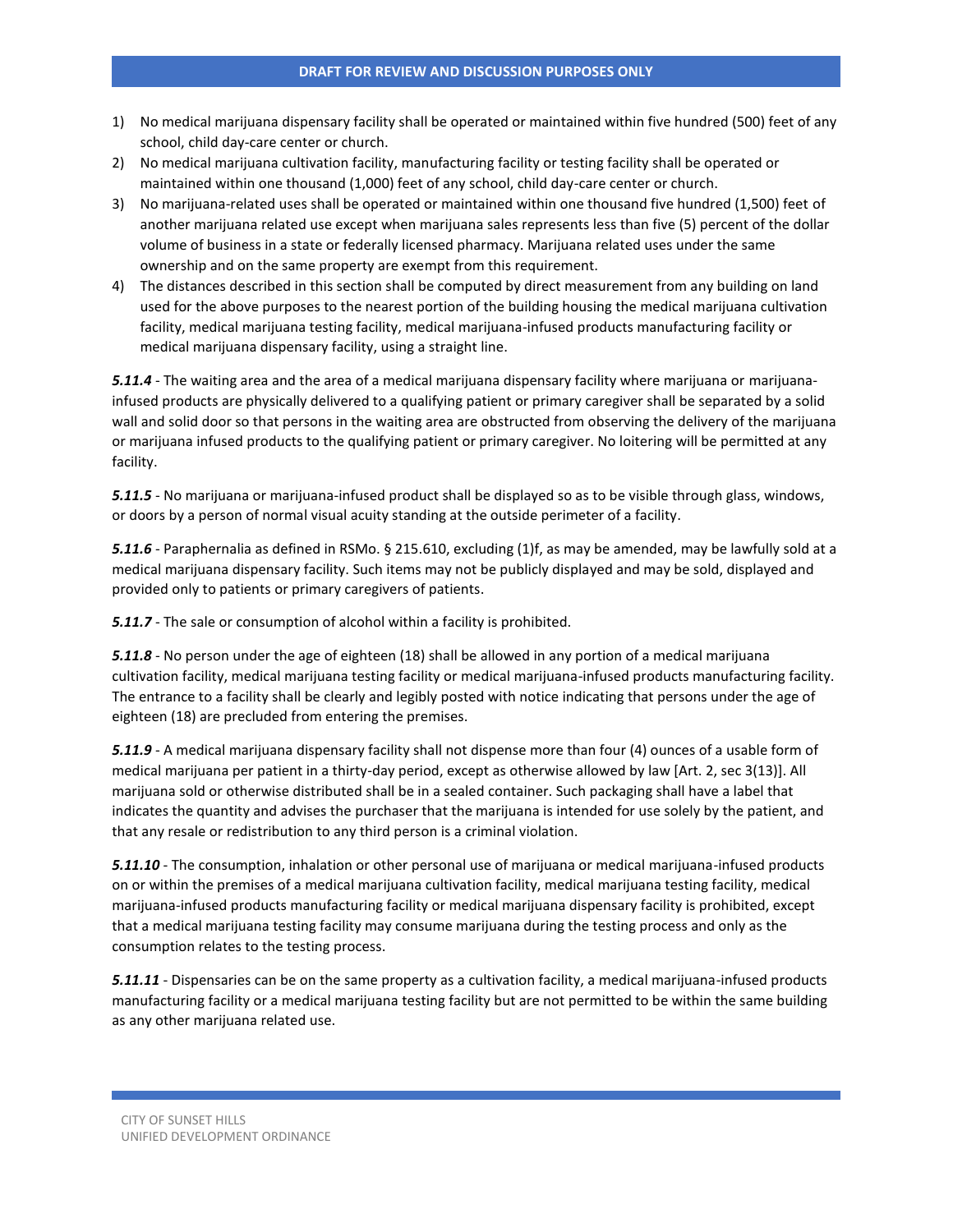- 1) No medical marijuana dispensary facility shall be operated or maintained within five hundred (500) feet of any school, child day-care center or church.
- 2) No medical marijuana cultivation facility, manufacturing facility or testing facility shall be operated or maintained within one thousand (1,000) feet of any school, child day-care center or church.
- 3) No marijuana-related uses shall be operated or maintained within one thousand five hundred (1,500) feet of another marijuana related use except when marijuana sales represents less than five (5) percent of the dollar volume of business in a state or federally licensed pharmacy. Marijuana related uses under the same ownership and on the same property are exempt from this requirement.
- 4) The distances described in this section shall be computed by direct measurement from any building on land used for the above purposes to the nearest portion of the building housing the medical marijuana cultivation facility, medical marijuana testing facility, medical marijuana-infused products manufacturing facility or medical marijuana dispensary facility, using a straight line.

*5.11.4* - The waiting area and the area of a medical marijuana dispensary facility where marijuana or marijuanainfused products are physically delivered to a qualifying patient or primary caregiver shall be separated by a solid wall and solid door so that persons in the waiting area are obstructed from observing the delivery of the marijuana or marijuana infused products to the qualifying patient or primary caregiver. No loitering will be permitted at any facility.

*5.11.5* - No marijuana or marijuana-infused product shall be displayed so as to be visible through glass, windows, or doors by a person of normal visual acuity standing at the outside perimeter of a facility.

*5.11.6* - Paraphernalia as defined in RSMo. § 215.610, excluding (1)f, as may be amended, may be lawfully sold at a medical marijuana dispensary facility. Such items may not be publicly displayed and may be sold, displayed and provided only to patients or primary caregivers of patients.

*5.11.7* - The sale or consumption of alcohol within a facility is prohibited.

*5.11.8* - No person under the age of eighteen (18) shall be allowed in any portion of a medical marijuana cultivation facility, medical marijuana testing facility or medical marijuana-infused products manufacturing facility. The entrance to a facility shall be clearly and legibly posted with notice indicating that persons under the age of eighteen (18) are precluded from entering the premises.

*5.11.9* - A medical marijuana dispensary facility shall not dispense more than four (4) ounces of a usable form of medical marijuana per patient in a thirty-day period, except as otherwise allowed by law [Art. 2, sec 3(13)]. All marijuana sold or otherwise distributed shall be in a sealed container. Such packaging shall have a label that indicates the quantity and advises the purchaser that the marijuana is intended for use solely by the patient, and that any resale or redistribution to any third person is a criminal violation.

*5.11.10* - The consumption, inhalation or other personal use of marijuana or medical marijuana-infused products on or within the premises of a medical marijuana cultivation facility, medical marijuana testing facility, medical marijuana-infused products manufacturing facility or medical marijuana dispensary facility is prohibited, except that a medical marijuana testing facility may consume marijuana during the testing process and only as the consumption relates to the testing process.

*5.11.11* - Dispensaries can be on the same property as a cultivation facility, a medical marijuana-infused products manufacturing facility or a medical marijuana testing facility but are not permitted to be within the same building as any other marijuana related use.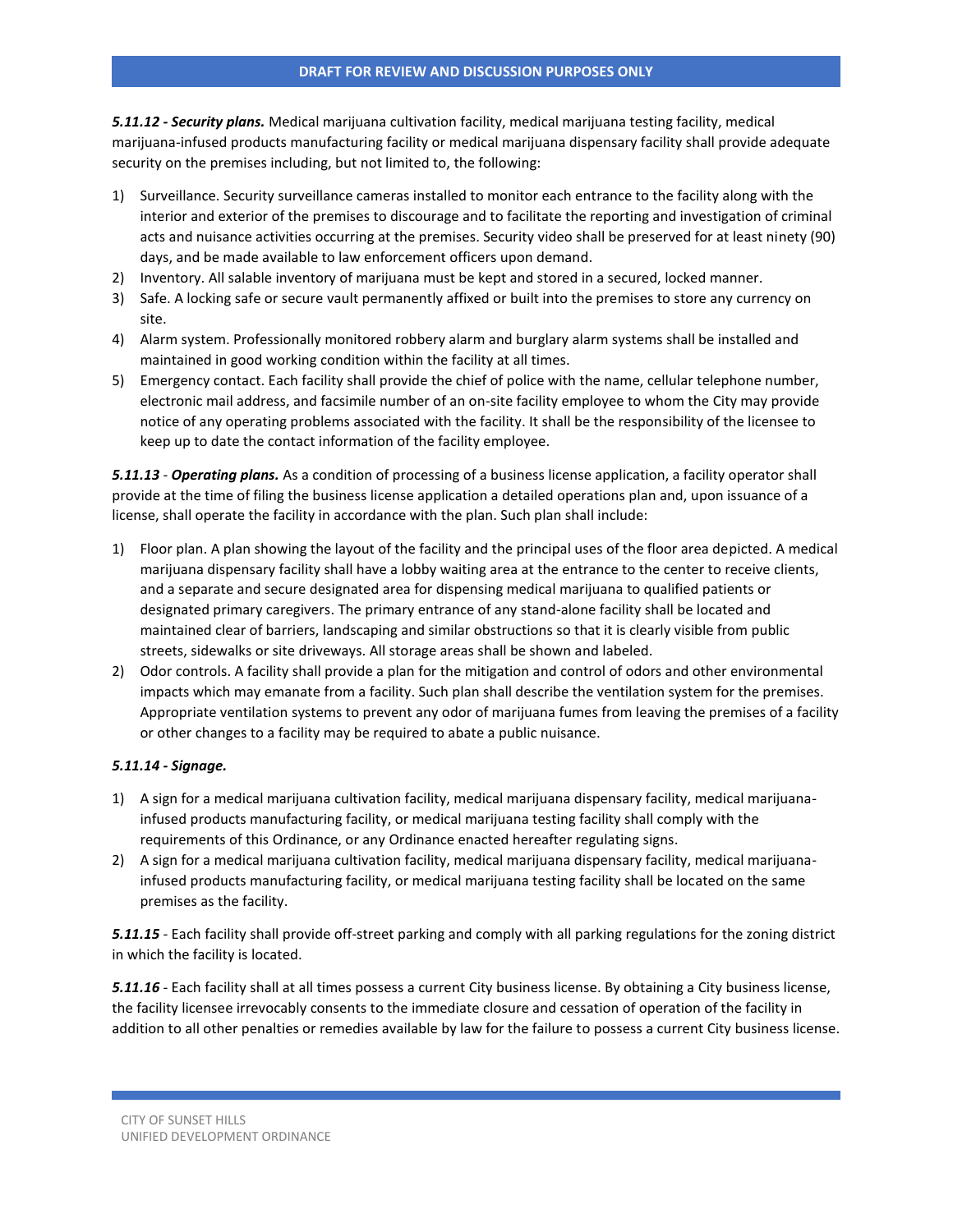*5.11.12 - Security plans.* Medical marijuana cultivation facility, medical marijuana testing facility, medical marijuana-infused products manufacturing facility or medical marijuana dispensary facility shall provide adequate security on the premises including, but not limited to, the following:

- 1) Surveillance. Security surveillance cameras installed to monitor each entrance to the facility along with the interior and exterior of the premises to discourage and to facilitate the reporting and investigation of criminal acts and nuisance activities occurring at the premises. Security video shall be preserved for at least ninety (90) days, and be made available to law enforcement officers upon demand.
- 2) Inventory. All salable inventory of marijuana must be kept and stored in a secured, locked manner.
- 3) Safe. A locking safe or secure vault permanently affixed or built into the premises to store any currency on site.
- 4) Alarm system. Professionally monitored robbery alarm and burglary alarm systems shall be installed and maintained in good working condition within the facility at all times.
- 5) Emergency contact. Each facility shall provide the chief of police with the name, cellular telephone number, electronic mail address, and facsimile number of an on-site facility employee to whom the City may provide notice of any operating problems associated with the facility. It shall be the responsibility of the licensee to keep up to date the contact information of the facility employee.

*5.11.13* - *Operating plans.* As a condition of processing of a business license application, a facility operator shall provide at the time of filing the business license application a detailed operations plan and, upon issuance of a license, shall operate the facility in accordance with the plan. Such plan shall include:

- 1) Floor plan. A plan showing the layout of the facility and the principal uses of the floor area depicted. A medical marijuana dispensary facility shall have a lobby waiting area at the entrance to the center to receive clients, and a separate and secure designated area for dispensing medical marijuana to qualified patients or designated primary caregivers. The primary entrance of any stand-alone facility shall be located and maintained clear of barriers, landscaping and similar obstructions so that it is clearly visible from public streets, sidewalks or site driveways. All storage areas shall be shown and labeled.
- 2) Odor controls. A facility shall provide a plan for the mitigation and control of odors and other environmental impacts which may emanate from a facility. Such plan shall describe the ventilation system for the premises. Appropriate ventilation systems to prevent any odor of marijuana fumes from leaving the premises of a facility or other changes to a facility may be required to abate a public nuisance.

# *5.11.14 - Signage.*

- 1) A sign for a medical marijuana cultivation facility, medical marijuana dispensary facility, medical marijuanainfused products manufacturing facility, or medical marijuana testing facility shall comply with the requirements of this Ordinance, or any Ordinance enacted hereafter regulating signs.
- 2) A sign for a medical marijuana cultivation facility, medical marijuana dispensary facility, medical marijuanainfused products manufacturing facility, or medical marijuana testing facility shall be located on the same premises as the facility.

*5.11.15* - Each facility shall provide off-street parking and comply with all parking regulations for the zoning district in which the facility is located.

*5.11.16* - Each facility shall at all times possess a current City business license. By obtaining a City business license, the facility licensee irrevocably consents to the immediate closure and cessation of operation of the facility in addition to all other penalties or remedies available by law for the failure to possess a current City business license.